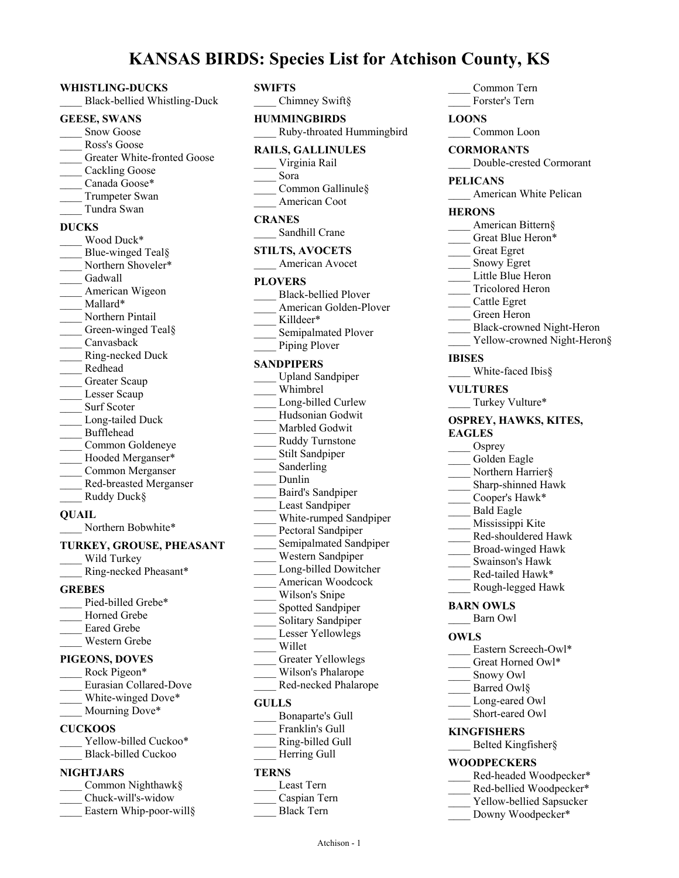# **KANSAS BIRDS: Species List for Atchison County, KS**

**SWIFTS**

### **WHISTLING-DUCKS** \_\_\_\_ Black-bellied Whistling-Duck **GEESE, SWANS** Snow Goose Ross's Goose Greater White-fronted Goose \_\_\_\_ Cackling Goose Canada Goose\* Trumpeter Swan \_\_\_\_ Tundra Swan **DUCKS** Wood Duck\* Blue-winged Teal§ Northern Shoveler\* Gadwall American Wigeon Mallard\* Northern Pintail Green-winged Teal§ Canvasback \_\_\_\_ Ring-necked Duck \_\_\_\_ Redhead Greater Scaup Lesser Scaup Surf Scoter Long-tailed Duck \_\_\_\_ Bufflehead \_\_\_\_ Common Goldeneye Hooded Merganser\* \_\_\_\_ Common Merganser \_\_\_\_ Red-breasted Merganser Ruddy Duck§

### **QUAIL**

Northern Bobwhite\*

- **TURKEY, GROUSE, PHEASANT**
- Wild Turkey
- \_\_\_\_ Ring-necked Pheasant\*

#### **GREBES**

Pied-billed Grebe\* Horned Grebe Eared Grebe \_\_\_\_ Western Grebe

#### **PIGEONS, DOVES**

| Rock Pigeon*           |
|------------------------|
| Eurasian Collared-Dove |
| White-winged Dove*     |
| Mourning Dove*         |

#### **CUCKOOS**

| Yellow-billed Cuckoo* |
|-----------------------|
| Black-billed Cuckoo   |

### **NIGHTJARS**

| Common Nighthawk§       |
|-------------------------|
| Chuck-will's-widow      |
| Eastern Whip-poor-will§ |

| SWIFTS<br>Chimney Swift§                                                                                                                                                                                                                                                                                                                                                                                                                                                                                                                  |
|-------------------------------------------------------------------------------------------------------------------------------------------------------------------------------------------------------------------------------------------------------------------------------------------------------------------------------------------------------------------------------------------------------------------------------------------------------------------------------------------------------------------------------------------|
| <b>HUMMINGBIRDS</b><br>Ruby-throated Hummingbird                                                                                                                                                                                                                                                                                                                                                                                                                                                                                          |
| <b>RAILS, GALLINULES</b><br>Virginia Rail<br>Sora<br>Common Gallinule §<br>American Coot                                                                                                                                                                                                                                                                                                                                                                                                                                                  |
| <b>CRANES</b><br>Sandhill Crane                                                                                                                                                                                                                                                                                                                                                                                                                                                                                                           |
| <b>STILTS, AVOCETS</b><br>American Avocet                                                                                                                                                                                                                                                                                                                                                                                                                                                                                                 |
| <b>PLOVERS</b><br>Black-bellied Plover<br>American Golden-Plover<br>Killdeer*<br>Semipalmated Plover<br>Piping Plover                                                                                                                                                                                                                                                                                                                                                                                                                     |
| <b>SANDPIPERS</b><br>Upland Sandpiper<br>Whimbrel<br>Long-billed Curlew<br>Hudsonian Godwit<br>Marbled Godwit<br>Ruddy Turnstone<br>_ Stilt Sandpiper<br>Sanderling<br>Dunlin<br>Baird's Sandpiper<br>Least Sandpiper<br>White-rumped Sandpiper<br>Pectoral Sandpiper<br>Semipalmated Sandpiper<br>Western Sandpiper<br>Long-billed Dowitcher<br>American Woodcock<br>Wilson's Snipe<br>Spotted Sandpiper<br>Solitary Sandpiper<br>Lesser Yellowlegs<br>Willet<br><b>Greater Yellowlegs</b><br>Wilson's Phalarope<br>Red-necked Phalarope |
| <b>GULLS</b><br>Bonaparte's Gull<br>Franklin's Gull                                                                                                                                                                                                                                                                                                                                                                                                                                                                                       |
| Ring-hilled Gull                                                                                                                                                                                                                                                                                                                                                                                                                                                                                                                          |

Ring-billed G \_\_\_\_ Herring Gull

#### **TERNS**

| Least Tern        |
|-------------------|
| Caspian Tern      |
| <b>Black Tern</b> |

| Common Tern                                              |
|----------------------------------------------------------|
| Forster's Tern                                           |
| <b>LOONS</b>                                             |
| Common Loon                                              |
| <b>CORMORANTS</b>                                        |
| Double-crested Cormorant                                 |
| <b>PELICANS</b>                                          |
| American White Pelican                                   |
| <b>HERONS</b><br>American Bittern§                       |
| Great Blue Heron*                                        |
| Great Egret                                              |
| Snowy Egret                                              |
| Little Blue Heron                                        |
| Tricolored Heron                                         |
| Cattle Egret                                             |
| $\frac{1}{2}$ Green Heron                                |
| Black-crowned Night-Heron<br>Yellow-crowned Night-Heron§ |
| IBISES                                                   |
| White-faced Ibis§                                        |
| <b>VULTURES</b>                                          |
| Turkey Vulture*                                          |
| OSPREY, HAWKS, KITES,                                    |
| <b>EAGLES</b>                                            |
| $O$ sprey                                                |
| Golden Eagle                                             |
| Northern Harrier§                                        |
| Sharp-shinned Hawk                                       |
| Cooper's Hawk*<br><b>Bald Eagle</b>                      |
| Mississippi Kite                                         |
| Red-shouldered Hawk                                      |
| Broad-winged Hawk                                        |
| Swainson's Hawk                                          |
| Red-tailed Hawk*                                         |
| Rough-legged Hawk                                        |
| <b>BARN OWLS</b><br>Barn Owl                             |
| OWLS                                                     |
| Eastern Screech-Owl*                                     |
| Great Horned Owl*                                        |
| Snowy Owl                                                |
| Barred Owl§                                              |
| Long-eared Owl                                           |
| Short-eared Owl                                          |
| <b>KINGFISHERS</b>                                       |
| Belted Kingfisher§                                       |
| WOODPECKERS                                              |
| Red-headed Woodpecker*                                   |
| Red-bellied Woodpecker*                                  |
| Yellow-bellied Sapsucker                                 |

Downy Woodpecker\*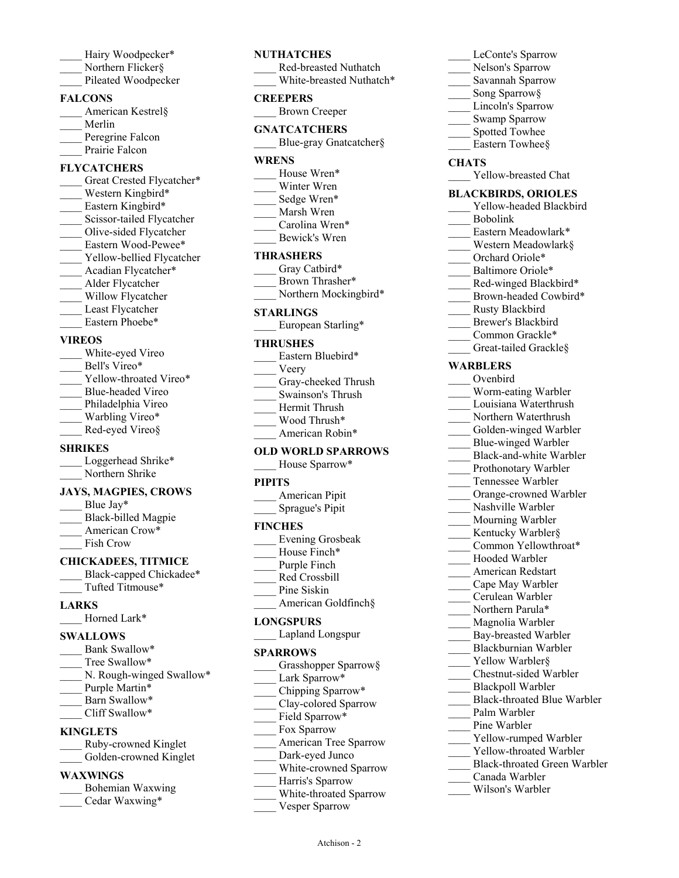- Hairy Woodpecker\* Northern Flicker§
- Pileated Woodpecker

### **FALCONS**

- \_\_\_\_ American Kestrel§
- \_\_\_\_ Merlin
- Peregrine Falcon Prairie Falcon

# **FLYCATCHERS**

Great Crested Flycatcher\* Western Kingbird\* Eastern Kingbird\* Scissor-tailed Flycatcher \_\_\_\_ Olive-sided Flycatcher Eastern Wood-Pewee\* Yellow-bellied Flycatcher Acadian Flycatcher\* \_\_\_\_ Alder Flycatcher Willow Flycatcher Least Flycatcher Eastern Phoebe\*

#### **VIREOS**

White-eyed Vireo Bell's Vireo\* Yellow-throated Vireo\* Blue-headed Vireo Philadelphia Vireo Warbling Vireo\* Red-eyed Vireo§

### **SHRIKES**

| Loggerhead Shrike* |
|--------------------|
| Northern Shrike    |

### **JAYS, MAGPIES, CROWS**

Blue Jay\* Black-billed Magpie American Crow\* Fish Crow

#### **CHICKADEES, TITMICE**

Black-capped Chickadee\* \_\_\_\_ Tufted Titmouse\*

### **LARKS**

Horned Lark\*

#### **SWALLOWS**

| N. Rough-winged Swallow* |
|--------------------------|
|                          |
|                          |
|                          |
|                          |

# **KINGLETS**

- \_\_\_\_ Ruby-crowned Kinglet
- Golden-crowned Kinglet

### **WAXWlNGS**

|  | Bohemian Waxwing |
|--|------------------|
|  | Cedar Waxwing*   |

### **NUTHATCHES**

|          | Red-breasted Nuthatch    |
|----------|--------------------------|
|          | White-breasted Nuthatch* |
| CREEPERS |                          |
|          | <b>Brown Creeper</b>     |

# **GNATCATCHERS**

Blue-gray Gnatcatcher§

#### **WRENS**

- House Wren\* Winter Wren
- Sedge Wren\*
- \_\_\_\_ Marsh Wren
- Carolina Wren\*
- \_\_\_\_ Bewick's Wren

### **THRASHERS**

- Gray Catbird\* Brown Thrasher\*
- Northern Mockingbird\*

## **STARLINGS**

European Starling\*

#### **THRUSHES**

Eastern Bluebird\* \_\_\_\_ Veery Gray-cheeked Thrush \_\_\_\_ Swainson's Thrush Hermit Thrush \_\_\_\_ Wood Thrush\* American Robin\*

#### **OLD WORLD SPARROWS**

House Sparrow\*

### **PIPITS**

| American Pipit  |
|-----------------|
| Sprague's Pipit |

### **FINCHES**

| <b>Evening Grosbeak</b> |
|-------------------------|
| House Finch*            |

- Purple Finch
- \_\_\_\_ Red Crossbill
- Pine Siskin
- American Goldfinch§

### **LONGSPURS**

### \_\_\_\_ Lapland Longspur

### **SPARROWS**

- Grasshopper Sparrow§
- Lark Sparrow\*
- Chipping Sparrow\*
- Clay-colored Sparrow
- Field Sparrow\*
- \_\_\_\_ Fox Sparrow
- American Tree Sparrow
- Dark-eyed Junco
- White-crowned Sparrow
- Harris's Sparrow
- White-throated Sparrow

Atchison - 2

Vesper Sparrow

- LeConte's Sparrow
- Nelson's Sparrow
- \_\_\_\_ Savannah Sparrow
- Song Sparrow§
- Lincoln's Sparrow Swamp Sparrow
- Spotted Towhee
- Eastern Towhee§

#### **CHATS**

Yellow-breasted Chat

#### **BLACKBIRDS, ORIOLES**

- Yellow-headed Blackbird \_\_\_\_ Bobolink
- Eastern Meadowlark\*
- Western Meadowlark§
- Orchard Oriole\*
- Baltimore Oriole\*
- Red-winged Blackbird\*
- Brown-headed Cowbird\*
- \_\_\_\_ Rusty Blackbird
- Brewer's Blackbird
- Common Grackle\*
- Great-tailed Grackle§

### **WARBLERS**

- \_\_\_\_ Ovenbird
- \_\_\_\_ Worm-eating Warbler
- \_\_\_\_ Louisiana Waterthrush
- Northern Waterthrush
- Golden-winged Warbler
- Blue-winged Warbler
- Black-and-white Warbler Prothonotary Warbler
- Tennessee Warbler
- Orange-crowned Warbler

Kentucky Warbler§ Common Yellowthroat\* \_\_\_\_ Hooded Warbler \_\_\_\_ American Redstart \_\_\_\_ Cape May Warbler \_\_\_\_ Cerulean Warbler Northern Parula\* Magnolia Warbler Bay-breasted Warbler \_\_\_\_ Blackburnian Warbler Yellow Warbler<sup>§</sup> \_\_\_\_ Chestnut-sided Warbler \_\_\_\_ Blackpoll Warbler

Black-throated Blue Warbler

Yellow-rumped Warbler Yellow-throated Warbler \_\_\_\_ Black-throated Green Warbler

Palm Warbler Pine Warbler

\_\_\_\_ Canada Warbler \_\_\_\_ Wilson's Warbler

- Nashville Warbler
- Mourning Warbler